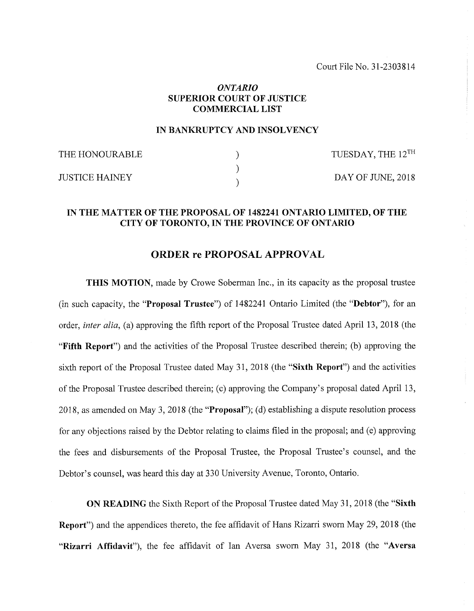Court File No. 31-2303814

## *ONTARIO* **SUPERIOR COURT OF JUSTICE COMMERCIAU LIST**

## **IN BANKRUPTCY AND INSOLVENCY**

| THE HONOURABLE | TUESDAY, THE 12 <sup>TH</sup> |
|----------------|-------------------------------|
| JUSTICE HAINEY | DAY OF JUNE, 2018             |

## **IN THE MATTER OF THE PROPOSAL OF 1482241 ONTARIO LIMITED, OF THE CITY OF TORONTO, IN THE PROVINCE OF ONTARIO**

## **ORDER re PROPOSAL APPROVAL**

**THIS MOTION,** made by Crowe Soberman Inc., in its capacity as the proposal trustee (in such capacity, the **"Proposal Trustee")** of 1482241 Ontario Limited (the **"Debtor"),** for an order, *inter alia*, (a) approving the fifth report of the Proposal Trustee dated April 13, 2018 (the **"Fifth Report")** and the activities of the Proposal Trustee described therein; (b) approving the sixth report of the Proposal Trustee dated May 31, 2018 (the **"Sixth Report")** and the activities of the Proposal Trustee described therein; (c) approving the Company's proposal dated April 13, 2018, as amended on May 3, 2018 (the **"Proposal");** (d) establishing a dispute resolution process for any objections raised by the Debtor relating to claims filed in the proposal; and (e) approving the fees and disbursements of the Proposal Trustee, the Proposal Trustee's counsel, and the Debtor's counsel, was heard this day at 330 University Avenue, Toronto, Ontario.

**ON READING** the Sixth Report of the Proposal Trustee dated May 31, 2018 (the "Sixth **Report")** and the appendices thereto, the fee affidavit of Hans Rizarri sworn May 29, 2018 (the **"Rizarri Affidavit"),** the fee affidavit of Ian Aversa sworn May 31, 2018 (the **"Aversa**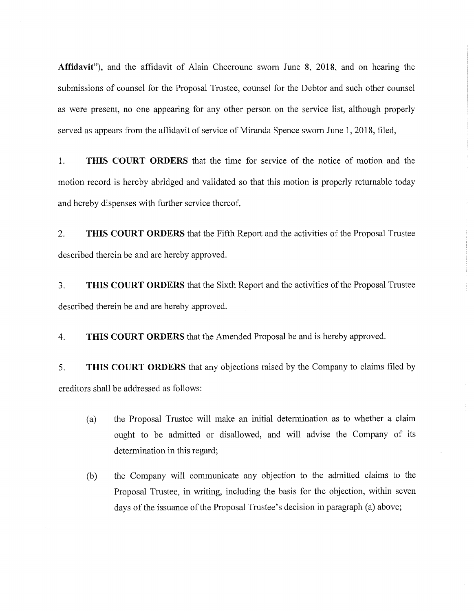**Affidavit"),** and the affidavit of Alain Checroune sworn June 8, 2018, and on hearing the submissions of counsel for the Proposal Trustee, counsel for the Debtor and such other counsel as were present, no one appearing for any other person on the service list, although properly served as appears from the affidavit of service of Miranda Spence sworn June 1, 2018, filed,

1. **THIS COURT ORDERS** that the time for service of the notice of motion and the motion record is hereby abridged and validated so that this motion is properly returnable today and hereby dispenses with further service thereof.

2. **THIS COURT ORDERS** that the Fifth Report and the activities of the Proposal Trustee described therein be and are hereby approved.

3. **THIS COURT ORDERS** that the Sixth Report and the activities ofthe Proposal Trustee described therein be and are hereby approved.

4. **THIS COURT ORDERS** that the Amended Proposal be and is hereby approved.

5. **THIS COURT ORDERS** that any objections raised by the Company to claims filed by creditors shall be addressed as follows:

- (a) the Proposal Trustee will make an initial determination as to whether a claim ought to be admitted or disallowed, and will advise the Company of its determination in this regard;
- (b) the Company will communicate any objection to the admitted claims to the Proposal Trustee, in writing, including the basis for the objection, within seven days of the issuance of the Proposal Trustee's decision in paragraph (a) above;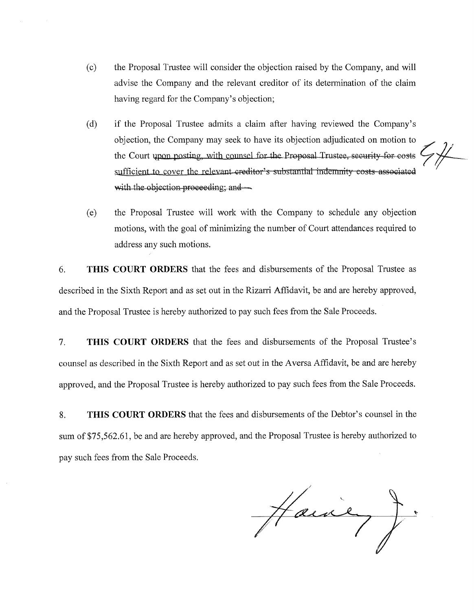- (c) the Proposal Trustee will consider the objection raised by the Company, and will advise the Company and the relevant creditor of its determination of the claim having regard for the Company's objection;
- (d) if the Proposal Trustee admits a claim after having reviewed the Company's objection, the Company may seek to have its objection adjudicated on motion to the Court upon posting, with counsel for the Proposal Trustee, security for costs sufficient to cover the relevant-creditor's substantial indemnity costs associated with the objection proceeding; and
- (e) the Proposal Trustee will work with the Company to schedule any objection motions, with the goal of minimizing the number of Court attendances required to address any such motions.

6. **THIS COURT ORDERS** that the fees and disbursements of the Proposal Trustee as described in the Sixth Report and as set out in the Rizarri Affidavit, be and are hereby approved, and the Proposal Trustee is hereby authorized to pay such fees from the Sale Proceeds.

7. **THIS COURT ORDERS** that the fees and disbursements of the Proposal Trustee's counsel as described in the Sixth Report and as set out in the Aversa Affidavit, be and are hereby approved, and the Proposal Trustee is hereby authorized to pay such fees from the Sale Proceeds.

8. **THIS COURT ORDERS** that the fees and disbursements of the Debtor's counsel in the sum of \$75,562.61, be and are hereby approved, and the Proposal Trustee is hereby authorized to pay such fees from the Sale Proceeds.

Hawie